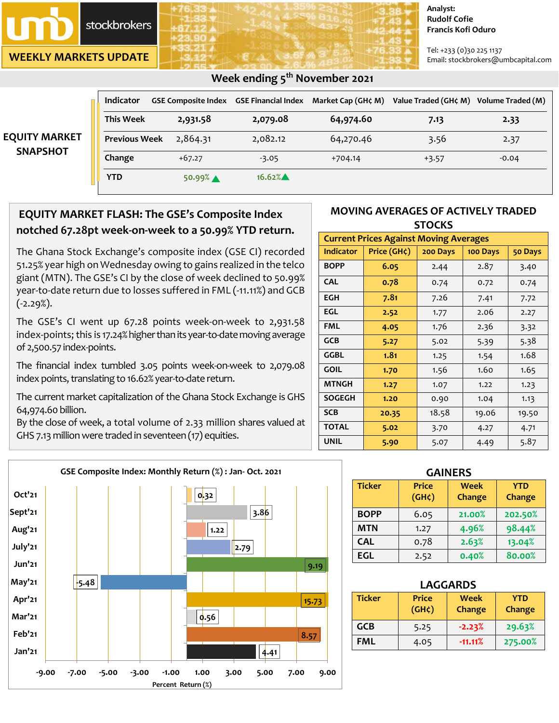

**WEEKLY MARKETS UPDATE**

**EQUITY** 

#### **Analyst: Rudolf Cofie Francis Kofi Oduro**

Tel: +233 (0)30 225 1137 Email: stockbrokers@umbcapital.com

|                                       | <b>Indicator</b>     | <b>GSE Composite Index</b> | <b>GSE Financial Index</b> | Market Cap (GH¢ M) | Value Traded (GH¢ M) Volume Traded (M) |         |
|---------------------------------------|----------------------|----------------------------|----------------------------|--------------------|----------------------------------------|---------|
| <b>UITY MARKET</b><br><b>SNAPSHOT</b> | <b>This Week</b>     | 2,931.58                   | 2,079.08                   | 64,974.60          | 7.13                                   | 2.33    |
|                                       | <b>Previous Week</b> | 2,864.31                   | 2,082.12                   | 64,270.46          | 3.56                                   | 2.37    |
|                                       | Change               | $+67.27$                   | $-3.05$                    | $+704.14$          | $+3.57$                                | $-0.04$ |
|                                       | <b>YTD</b>           | 50.99%                     | $16.62\%$                  |                    |                                        |         |

## **EQUITY MARKET FLASH: The GSE's Composite Index notched 67.28pt week-on-week to a 50.99% YTD return.**

The Ghana Stock Exchange's composite index (GSE CI) recorded 51.25% year high on Wednesday owing to gains realized in the telco giant (MTN). The GSE's CI by the close of week declined to 50.99% year-to-date return due to losses suffered in FML (-11.11%) and GCB  $(-2.29\%).$ 

The GSE's CI went up 67.28 points week-on-week to 2,931.58 index-points; this is 17.24% higher than its year-to-date moving average of 2,500.57 index-points.

The financial index tumbled 3.05 points week-on-week to 2,079.08 index points, translating to 16.62% year-to-date return.

The current market capitalization of the Ghana Stock Exchange is GHS 64,974.60 billion.

By the close of week, a total volume of 2.33 million shares valued at GHS 7.13 million were traded in seventeen (17) equities.



| <b>Current Prices Against Moving Averages</b> |             |          |          |         |  |
|-----------------------------------------------|-------------|----------|----------|---------|--|
| <b>Indicator</b>                              | Price (GH¢) | 200 Days | 100 Days | 50 Days |  |
| <b>BOPP</b>                                   | 6.05        | 2.44     | 2.87     | 3.40    |  |
| <b>CAL</b>                                    | 0.78        | 0.74     | 0.72     | 0.74    |  |
| <b>EGH</b>                                    | 7.81        | 7.26     | 7.41     | 7.72    |  |
| EGL                                           | 2.52        | 1.77     | 2.06     | 2.27    |  |
| <b>FML</b>                                    | 4.05        | 1.76     | 2.36     | 3.32    |  |
| <b>GCB</b>                                    | 5.27        | 5.02     | 5.39     | 5.38    |  |
| GGBL                                          | 1.81        | 1.25     | 1.54     | 1.68    |  |
| <b>GOIL</b>                                   | 1.70        | 1.56     | 1.60     | 1.65    |  |
| <b>MTNGH</b>                                  | 1.27        | 1.07     | 1.22     | 1.23    |  |
| <b>SOGEGH</b>                                 | 1.20        | 0.90     | 1.04     | 1.13    |  |
| <b>SCB</b>                                    | 20.35       | 18.58    | 19.06    | 19.50   |  |
| <b>TOTAL</b>                                  | 5.02        | 3.70     | 4.27     | 4.71    |  |
| <b>UNIL</b>                                   | 5.90        | 5.07     | 4.49     | 5.87    |  |



| <b>GAINERS</b> |                                    |                       |                             |  |  |
|----------------|------------------------------------|-----------------------|-----------------------------|--|--|
| <b>Ticker</b>  | <b>Price</b><br>(GH <sub>c</sub> ) | <b>Week</b><br>Change | <b>YTD</b><br><b>Change</b> |  |  |
| <b>BOPP</b>    | 6.05                               | 21.00%                | 202.50%                     |  |  |
| <b>MTN</b>     | 1.27                               | 4.96%                 | 98.44%                      |  |  |
| <b>CAL</b>     | 0.78                               | 2.63%                 | 13.04%                      |  |  |
| <b>EGL</b>     | 2.52                               | 0.40%                 | 80.00%                      |  |  |

| <b>LAGGARDS</b> |                                    |                |                      |  |  |
|-----------------|------------------------------------|----------------|----------------------|--|--|
| <b>Ticker</b>   | <b>Price</b><br>(GH <sub>c</sub> ) | Week<br>Change | <b>YTD</b><br>Change |  |  |
| <b>GCB</b>      | 5.25                               | $-2.23%$       | 29.63%               |  |  |
| FML             | 4.05                               | $-11.11%$      | 275.00%              |  |  |

## **Week ending 5 th November 2021**